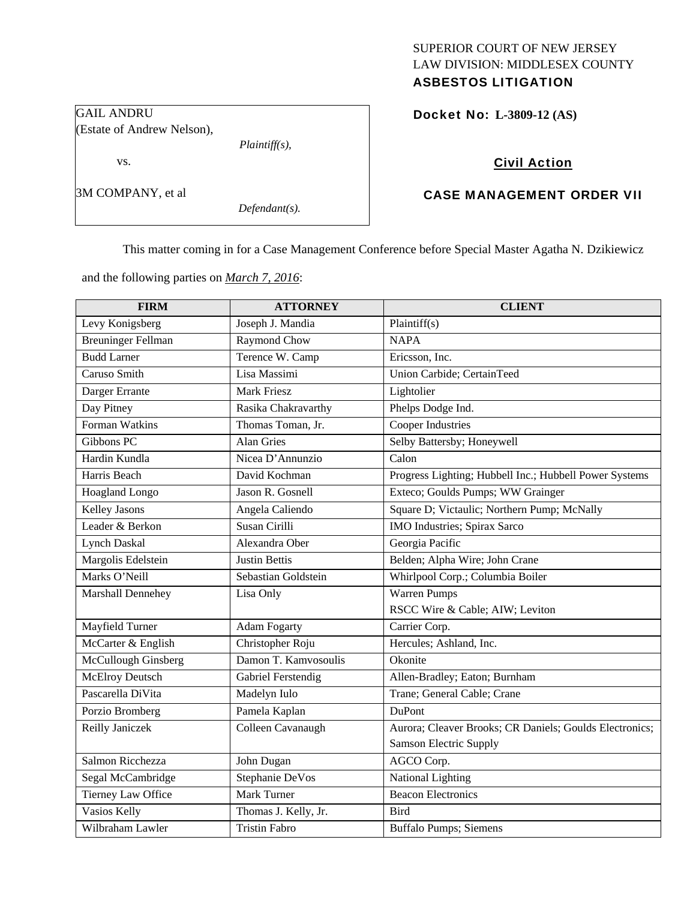# SUPERIOR COURT OF NEW JERSEY LAW DIVISION: MIDDLESEX COUNTY

# ASBESTOS LITIGATION

GAIL ANDRU (Estate of Andrew Nelson),

*Plaintiff(s),* 

3M COMPANY, et al

vs.

*Defendant(s).* 

Docket No: **L-3809-12 (AS)** 

# Civil Action

# CASE MANAGEMENT ORDER VII

This matter coming in for a Case Management Conference before Special Master Agatha N. Dzikiewicz

and the following parties on *March 7, 2016*:

| <b>FIRM</b>               | <b>ATTORNEY</b>      | <b>CLIENT</b>                                           |
|---------------------------|----------------------|---------------------------------------------------------|
| Levy Konigsberg           | Joseph J. Mandia     | Plaintiff $(s)$                                         |
| <b>Breuninger Fellman</b> | Raymond Chow         | <b>NAPA</b>                                             |
| <b>Budd Larner</b>        | Terence W. Camp      | Ericsson, Inc.                                          |
| Caruso Smith              | Lisa Massimi         | Union Carbide; CertainTeed                              |
| Darger Errante            | <b>Mark Friesz</b>   | Lightolier                                              |
| Day Pitney                | Rasika Chakravarthy  | Phelps Dodge Ind.                                       |
| Forman Watkins            | Thomas Toman, Jr.    | <b>Cooper Industries</b>                                |
| Gibbons PC                | <b>Alan Gries</b>    | Selby Battersby; Honeywell                              |
| Hardin Kundla             | Nicea D'Annunzio     | Calon                                                   |
| Harris Beach              | David Kochman        | Progress Lighting; Hubbell Inc.; Hubbell Power Systems  |
| Hoagland Longo            | Jason R. Gosnell     | Exteco; Goulds Pumps; WW Grainger                       |
| Kelley Jasons             | Angela Caliendo      | Square D; Victaulic; Northern Pump; McNally             |
| Leader & Berkon           | Susan Cirilli        | IMO Industries; Spirax Sarco                            |
| <b>Lynch Daskal</b>       | Alexandra Ober       | Georgia Pacific                                         |
| Margolis Edelstein        | <b>Justin Bettis</b> | Belden; Alpha Wire; John Crane                          |
| Marks O'Neill             | Sebastian Goldstein  | Whirlpool Corp.; Columbia Boiler                        |
| Marshall Dennehey         | Lisa Only            | Warren Pumps                                            |
|                           |                      | RSCC Wire & Cable; AIW; Leviton                         |
| Mayfield Turner           | <b>Adam Fogarty</b>  | Carrier Corp.                                           |
| McCarter & English        | Christopher Roju     | Hercules; Ashland, Inc.                                 |
| McCullough Ginsberg       | Damon T. Kamyosoulis | Okonite                                                 |
| <b>McElroy Deutsch</b>    | Gabriel Ferstendig   | Allen-Bradley; Eaton; Burnham                           |
| Pascarella DiVita         | Madelyn Iulo         | Trane; General Cable; Crane                             |
| Porzio Bromberg           | Pamela Kaplan        | DuPont                                                  |
| Reilly Janiczek           | Colleen Cavanaugh    | Aurora; Cleaver Brooks; CR Daniels; Goulds Electronics; |
|                           |                      | <b>Samson Electric Supply</b>                           |
| Salmon Ricchezza          | John Dugan           | AGCO Corp.                                              |
| Segal McCambridge         | Stephanie DeVos      | National Lighting                                       |
| <b>Tierney Law Office</b> | Mark Turner          | <b>Beacon Electronics</b>                               |
| Vasios Kelly              | Thomas J. Kelly, Jr. | <b>Bird</b>                                             |
| Wilbraham Lawler          | <b>Tristin Fabro</b> | <b>Buffalo Pumps; Siemens</b>                           |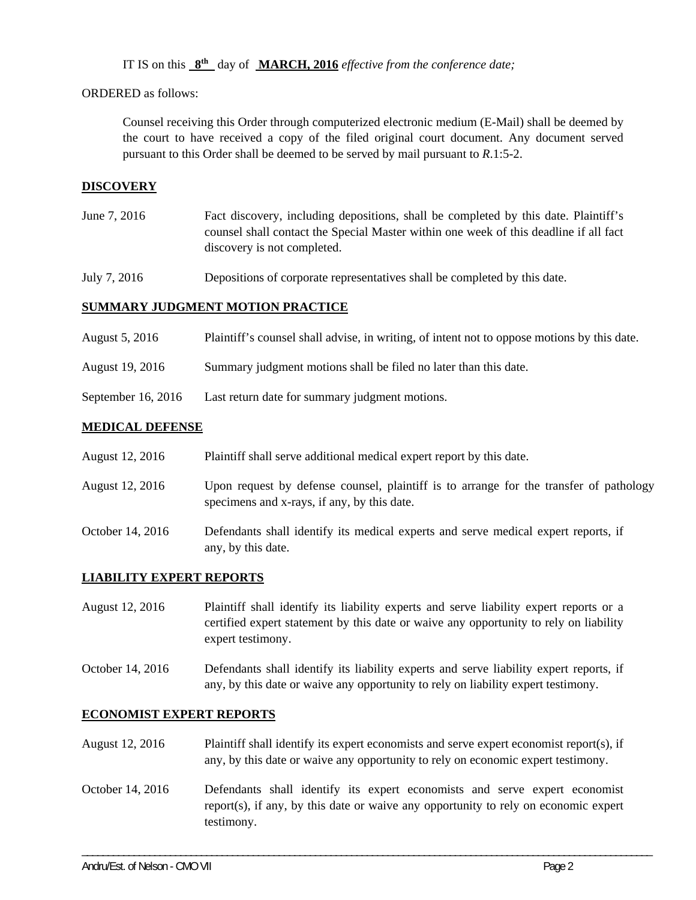IT IS on this **8th** day of **MARCH, 2016** *effective from the conference date;*

ORDERED as follows:

Counsel receiving this Order through computerized electronic medium (E-Mail) shall be deemed by the court to have received a copy of the filed original court document. Any document served pursuant to this Order shall be deemed to be served by mail pursuant to *R*.1:5-2.

### **DISCOVERY**

June 7, 2016 Fact discovery, including depositions, shall be completed by this date. Plaintiff's counsel shall contact the Special Master within one week of this deadline if all fact discovery is not completed.

July 7, 2016 Depositions of corporate representatives shall be completed by this date.

#### **SUMMARY JUDGMENT MOTION PRACTICE**

- August 5, 2016 Plaintiff's counsel shall advise, in writing, of intent not to oppose motions by this date.
- August 19, 2016 Summary judgment motions shall be filed no later than this date.
- September 16, 2016 Last return date for summary judgment motions.

#### **MEDICAL DEFENSE**

| August 12, 2016  | Plaintiff shall serve additional medical expert report by this date.                                                                  |
|------------------|---------------------------------------------------------------------------------------------------------------------------------------|
| August 12, 2016  | Upon request by defense counsel, plaintiff is to arrange for the transfer of pathology<br>specimens and x-rays, if any, by this date. |
| October 14, 2016 | Defendants shall identify its medical experts and serve medical expert reports, if<br>any, by this date.                              |

#### **LIABILITY EXPERT REPORTS**

August 12, 2016 Plaintiff shall identify its liability experts and serve liability expert reports or a certified expert statement by this date or waive any opportunity to rely on liability expert testimony.

October 14, 2016 Defendants shall identify its liability experts and serve liability expert reports, if any, by this date or waive any opportunity to rely on liability expert testimony.

#### **ECONOMIST EXPERT REPORTS**

- August 12, 2016 Plaintiff shall identify its expert economists and serve expert economist report(s), if any, by this date or waive any opportunity to rely on economic expert testimony.
- October 14, 2016 Defendants shall identify its expert economists and serve expert economist report(s), if any, by this date or waive any opportunity to rely on economic expert testimony.

\_\_\_\_\_\_\_\_\_\_\_\_\_\_\_\_\_\_\_\_\_\_\_\_\_\_\_\_\_\_\_\_\_\_\_\_\_\_\_\_\_\_\_\_\_\_\_\_\_\_\_\_\_\_\_\_\_\_\_\_\_\_\_\_\_\_\_\_\_\_\_\_\_\_\_\_\_\_\_\_\_\_\_\_\_\_\_\_\_\_\_\_\_\_\_\_\_\_\_\_\_\_\_\_\_\_\_\_\_\_